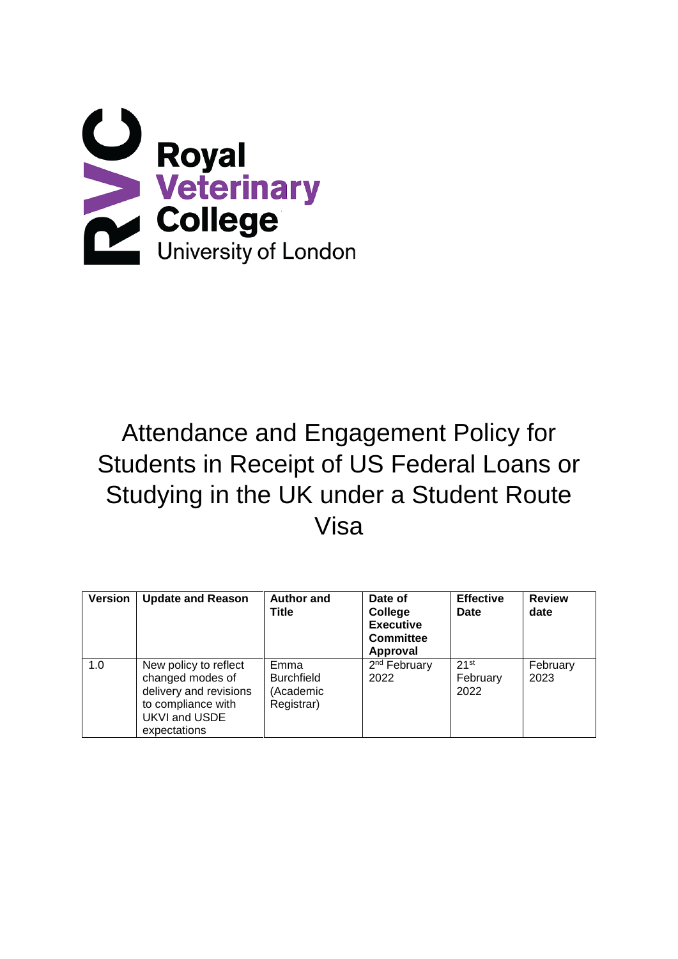

# Attendance and Engagement Policy for Students in Receipt of US Federal Loans or Studying in the UK under a Student Route Visa

| <b>Version</b> | <b>Update and Reason</b>                                                                                                   | <b>Author and</b><br>Title                           | Date of<br>College<br><b>Executive</b><br><b>Committee</b><br>Approval | <b>Effective</b><br>Date | <b>Review</b><br>date |
|----------------|----------------------------------------------------------------------------------------------------------------------------|------------------------------------------------------|------------------------------------------------------------------------|--------------------------|-----------------------|
| 1.0            | New policy to reflect<br>changed modes of<br>delivery and revisions<br>to compliance with<br>UKVI and USDE<br>expectations | Emma<br><b>Burchfield</b><br>(Academic<br>Registrar) | 2 <sup>nd</sup> February<br>2022                                       | 21st<br>February<br>2022 | February<br>2023      |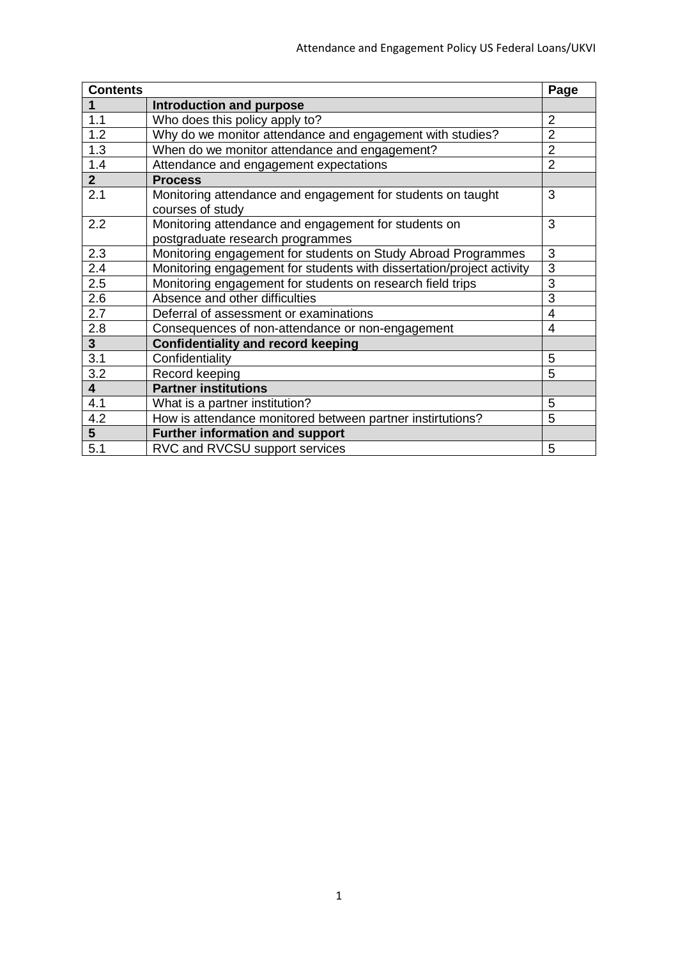| <b>Contents</b>         |                                                                       | Page           |
|-------------------------|-----------------------------------------------------------------------|----------------|
| 1                       | Introduction and purpose                                              |                |
| 1.1                     | Who does this policy apply to?                                        | $\overline{2}$ |
| 1.2                     | Why do we monitor attendance and engagement with studies?             | $\overline{2}$ |
| 1.3                     | When do we monitor attendance and engagement?                         | $\overline{2}$ |
| 1.4                     | Attendance and engagement expectations                                | $\overline{2}$ |
| 2 <sup>1</sup>          | <b>Process</b>                                                        |                |
| 2.1                     | Monitoring attendance and engagement for students on taught           | 3              |
|                         | courses of study                                                      |                |
| 2.2                     | Monitoring attendance and engagement for students on                  | 3              |
|                         | postgraduate research programmes                                      |                |
| 2.3                     | Monitoring engagement for students on Study Abroad Programmes         | 3              |
| 2.4                     | Monitoring engagement for students with dissertation/project activity | 3              |
| 2.5                     | Monitoring engagement for students on research field trips            | 3              |
| 2.6                     | Absence and other difficulties                                        | 3              |
| 2.7                     | Deferral of assessment or examinations                                | $\overline{4}$ |
| 2.8                     | Consequences of non-attendance or non-engagement                      | 4              |
| 3 <sup>1</sup>          | <b>Confidentiality and record keeping</b>                             |                |
| 3.1                     | Confidentiality                                                       | 5              |
| 3.2                     | Record keeping                                                        | 5              |
| $\overline{\mathbf{4}}$ | <b>Partner institutions</b>                                           |                |
| 4.1                     | What is a partner institution?                                        | 5              |
| 4.2                     | How is attendance monitored between partner instirtutions?            | 5              |
| $\overline{5}$          | <b>Further information and support</b>                                |                |
| $\overline{5.1}$        | RVC and RVCSU support services                                        | 5              |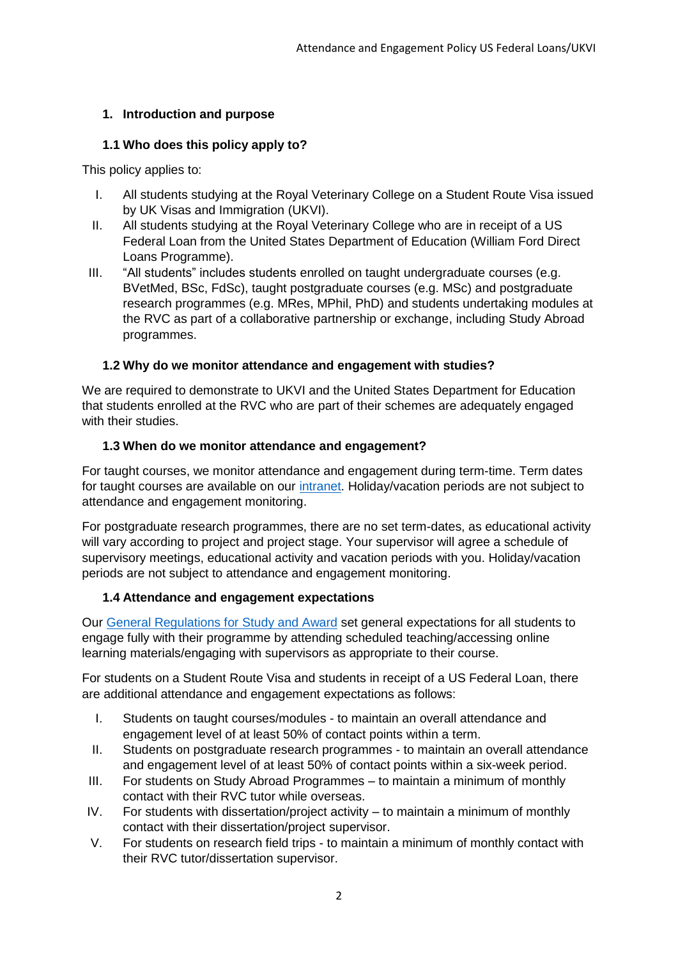# **1. Introduction and purpose**

## **1.1 Who does this policy apply to?**

This policy applies to:

- I. All students studying at the Royal Veterinary College on a Student Route Visa issued by UK Visas and Immigration (UKVI).
- II. All students studying at the Royal Veterinary College who are in receipt of a US Federal Loan from the United States Department of Education (William Ford Direct Loans Programme).
- III. "All students" includes students enrolled on taught undergraduate courses (e.g. BVetMed, BSc, FdSc), taught postgraduate courses (e.g. MSc) and postgraduate research programmes (e.g. MRes, MPhil, PhD) and students undertaking modules at the RVC as part of a collaborative partnership or exchange, including Study Abroad programmes.

## **1.2 Why do we monitor attendance and engagement with studies?**

We are required to demonstrate to UKVI and the United States Department for Education that students enrolled at the RVC who are part of their schemes are adequately engaged with their studies.

## **1.3 When do we monitor attendance and engagement?**

For taught courses, we monitor attendance and engagement during term-time. Term dates for taught courses are available on our [intranet.](https://intranet.rvc.ac.uk/information-and-services/term-dates.cfm) Holiday/vacation periods are not subject to attendance and engagement monitoring.

For postgraduate research programmes, there are no set term-dates, as educational activity will vary according to project and project stage. Your supervisor will agree a schedule of supervisory meetings, educational activity and vacation periods with you. Holiday/vacation periods are not subject to attendance and engagement monitoring.

## **1.4 Attendance and engagement expectations**

Our [General Regulations for Study and Award](https://www.rvc.ac.uk/Media/Default/About/Academic%20Quality,%20Regulations%20and%20Procedures/Further%20Student%20Policies%20and%20Procedures/General%20Regulations%20for%20Study%20and%20Award%20v1.12%20web%20version.pdf) set general expectations for all students to engage fully with their programme by attending scheduled teaching/accessing online learning materials/engaging with supervisors as appropriate to their course.

For students on a Student Route Visa and students in receipt of a US Federal Loan, there are additional attendance and engagement expectations as follows:

- I. Students on taught courses/modules to maintain an overall attendance and engagement level of at least 50% of contact points within a term.
- II. Students on postgraduate research programmes to maintain an overall attendance and engagement level of at least 50% of contact points within a six-week period.
- III. For students on Study Abroad Programmes to maintain a minimum of monthly contact with their RVC tutor while overseas.
- IV. For students with dissertation/project activity to maintain a minimum of monthly contact with their dissertation/project supervisor.
- V. For students on research field trips to maintain a minimum of monthly contact with their RVC tutor/dissertation supervisor.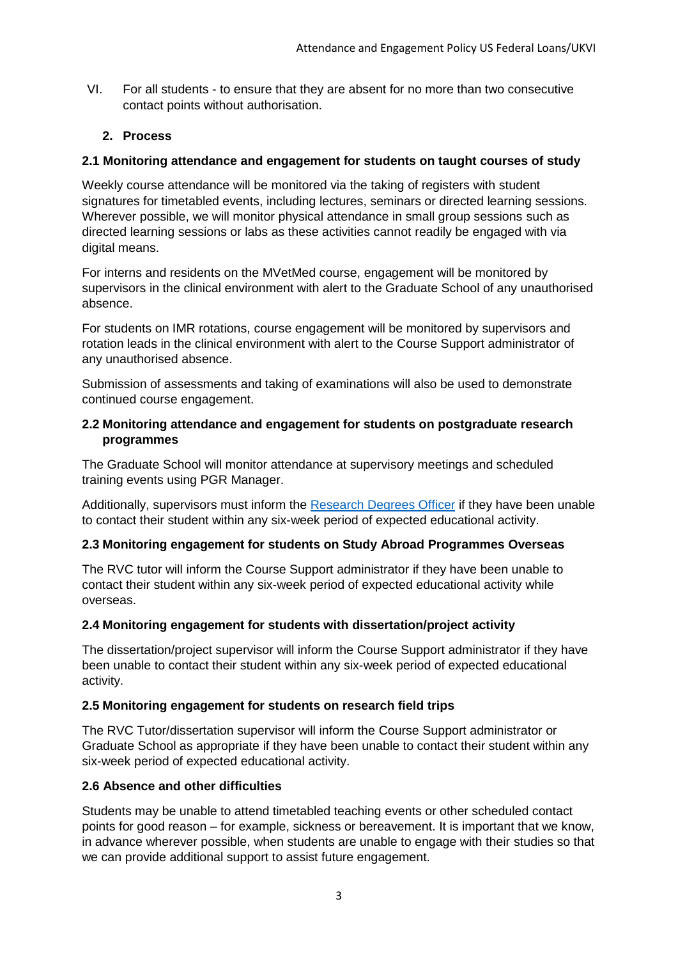VI. For all students - to ensure that they are absent for no more than two consecutive contact points without authorisation.

### **2. Process**

#### **2.1 Monitoring attendance and engagement for students on taught courses of study**

Weekly course attendance will be monitored via the taking of registers with student signatures for timetabled events, including lectures, seminars or directed learning sessions. Wherever possible, we will monitor physical attendance in small group sessions such as directed learning sessions or labs as these activities cannot readily be engaged with via digital means.

For interns and residents on the MVetMed course, engagement will be monitored by supervisors in the clinical environment with alert to the Graduate School of any unauthorised absence.

For students on IMR rotations, course engagement will be monitored by supervisors and rotation leads in the clinical environment with alert to the Course Support administrator of any unauthorised absence.

Submission of assessments and taking of examinations will also be used to demonstrate continued course engagement.

#### **2.2 Monitoring attendance and engagement for students on postgraduate research programmes**

The Graduate School will monitor attendance at supervisory meetings and scheduled training events using PGR Manager.

Additionally, supervisors must inform the [Research Degrees Officer](mailto:rdofficer@rvc.ac.uk) if they have been unable to contact their student within any six-week period of expected educational activity.

#### **2.3 Monitoring engagement for students on Study Abroad Programmes Overseas**

The RVC tutor will inform the Course Support administrator if they have been unable to contact their student within any six-week period of expected educational activity while overseas.

#### **2.4 Monitoring engagement for students with dissertation/project activity**

The dissertation/project supervisor will inform the Course Support administrator if they have been unable to contact their student within any six-week period of expected educational activity.

#### **2.5 Monitoring engagement for students on research field trips**

The RVC Tutor/dissertation supervisor will inform the Course Support administrator or Graduate School as appropriate if they have been unable to contact their student within any six-week period of expected educational activity.

#### **2.6 Absence and other difficulties**

Students may be unable to attend timetabled teaching events or other scheduled contact points for good reason – for example, sickness or bereavement. It is important that we know, in advance wherever possible, when students are unable to engage with their studies so that we can provide additional support to assist future engagement.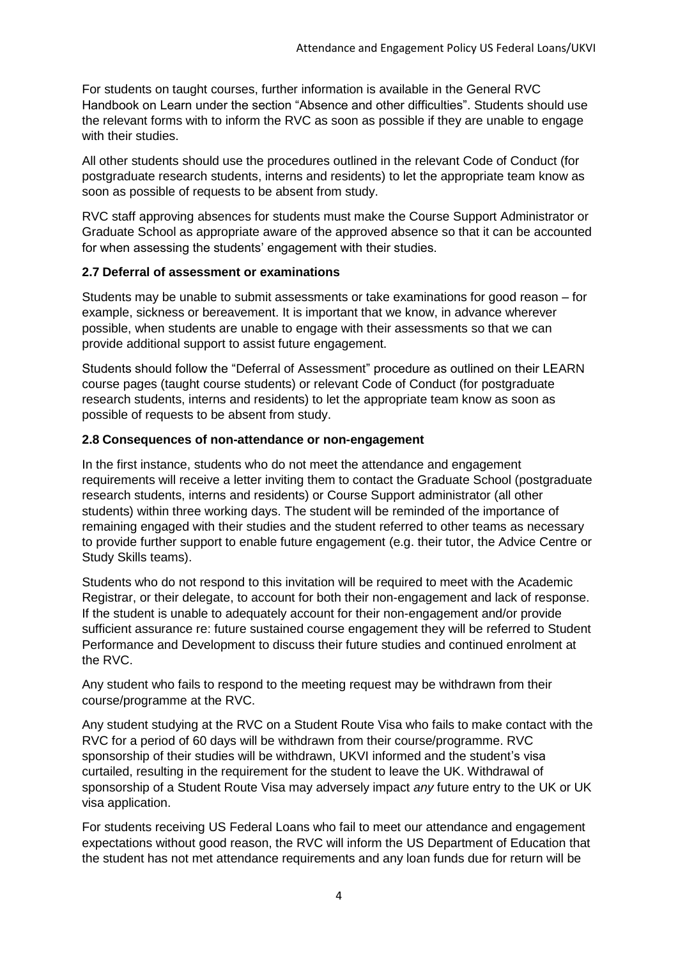For students on taught courses, further information is available in the General RVC Handbook on Learn under the section "Absence and other difficulties". Students should use the relevant forms with to inform the RVC as soon as possible if they are unable to engage with their studies.

All other students should use the procedures outlined in the relevant Code of Conduct (for postgraduate research students, interns and residents) to let the appropriate team know as soon as possible of requests to be absent from study.

RVC staff approving absences for students must make the Course Support Administrator or Graduate School as appropriate aware of the approved absence so that it can be accounted for when assessing the students' engagement with their studies.

## **2.7 Deferral of assessment or examinations**

Students may be unable to submit assessments or take examinations for good reason – for example, sickness or bereavement. It is important that we know, in advance wherever possible, when students are unable to engage with their assessments so that we can provide additional support to assist future engagement.

Students should follow the "Deferral of Assessment" procedure as outlined on their LEARN course pages (taught course students) or relevant Code of Conduct (for postgraduate research students, interns and residents) to let the appropriate team know as soon as possible of requests to be absent from study.

#### **2.8 Consequences of non-attendance or non-engagement**

In the first instance, students who do not meet the attendance and engagement requirements will receive a letter inviting them to contact the Graduate School (postgraduate research students, interns and residents) or Course Support administrator (all other students) within three working days. The student will be reminded of the importance of remaining engaged with their studies and the student referred to other teams as necessary to provide further support to enable future engagement (e.g. their tutor, the Advice Centre or Study Skills teams).

Students who do not respond to this invitation will be required to meet with the Academic Registrar, or their delegate, to account for both their non-engagement and lack of response. If the student is unable to adequately account for their non-engagement and/or provide sufficient assurance re: future sustained course engagement they will be referred to Student Performance and Development to discuss their future studies and continued enrolment at the RVC.

Any student who fails to respond to the meeting request may be withdrawn from their course/programme at the RVC.

Any student studying at the RVC on a Student Route Visa who fails to make contact with the RVC for a period of 60 days will be withdrawn from their course/programme. RVC sponsorship of their studies will be withdrawn, UKVI informed and the student's visa curtailed, resulting in the requirement for the student to leave the UK. Withdrawal of sponsorship of a Student Route Visa may adversely impact *any* future entry to the UK or UK visa application.

For students receiving US Federal Loans who fail to meet our attendance and engagement expectations without good reason, the RVC will inform the US Department of Education that the student has not met attendance requirements and any loan funds due for return will be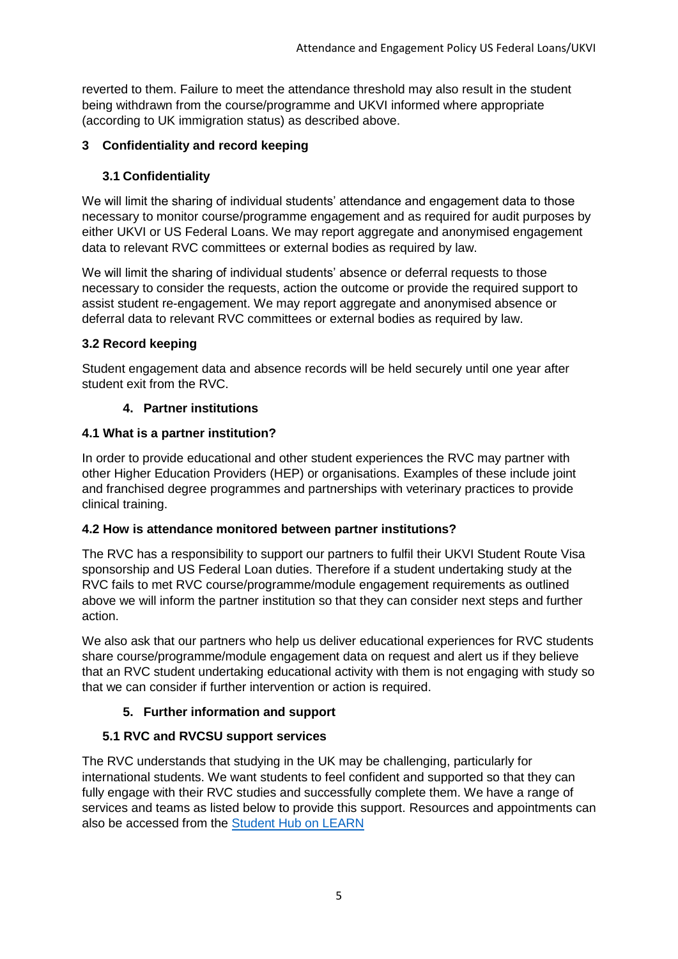reverted to them. Failure to meet the attendance threshold may also result in the student being withdrawn from the course/programme and UKVI informed where appropriate (according to UK immigration status) as described above.

# **3 Confidentiality and record keeping**

## **3.1 Confidentiality**

We will limit the sharing of individual students' attendance and engagement data to those necessary to monitor course/programme engagement and as required for audit purposes by either UKVI or US Federal Loans. We may report aggregate and anonymised engagement data to relevant RVC committees or external bodies as required by law.

We will limit the sharing of individual students' absence or deferral requests to those necessary to consider the requests, action the outcome or provide the required support to assist student re-engagement. We may report aggregate and anonymised absence or deferral data to relevant RVC committees or external bodies as required by law.

## **3.2 Record keeping**

Student engagement data and absence records will be held securely until one year after student exit from the RVC.

## **4. Partner institutions**

## **4.1 What is a partner institution?**

In order to provide educational and other student experiences the RVC may partner with other Higher Education Providers (HEP) or organisations. Examples of these include joint and franchised degree programmes and partnerships with veterinary practices to provide clinical training.

## **4.2 How is attendance monitored between partner institutions?**

The RVC has a responsibility to support our partners to fulfil their UKVI Student Route Visa sponsorship and US Federal Loan duties. Therefore if a student undertaking study at the RVC fails to met RVC course/programme/module engagement requirements as outlined above we will inform the partner institution so that they can consider next steps and further action.

We also ask that our partners who help us deliver educational experiences for RVC students share course/programme/module engagement data on request and alert us if they believe that an RVC student undertaking educational activity with them is not engaging with study so that we can consider if further intervention or action is required.

# **5. Further information and support**

# **5.1 RVC and RVCSU support services**

The RVC understands that studying in the UK may be challenging, particularly for international students. We want students to feel confident and supported so that they can fully engage with their RVC studies and successfully complete them. We have a range of services and teams as listed below to provide this support. Resources and appointments can also be accessed from the [Student Hub on LEARN](https://learn.rvc.ac.uk/course/view.php?id=722)